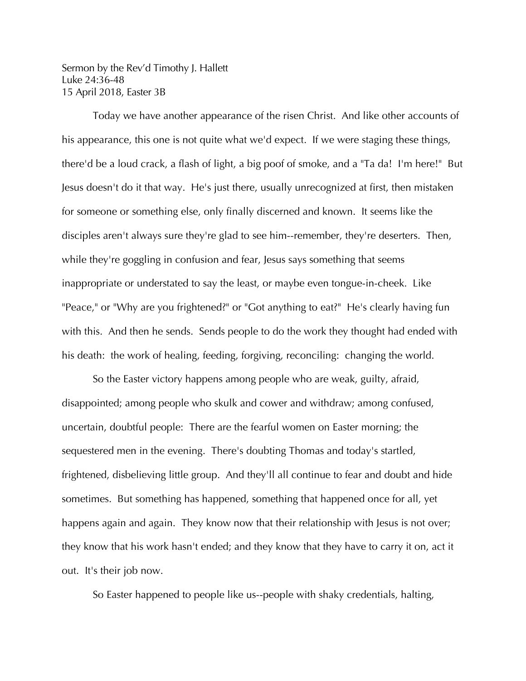Sermon by the Rev'd Timothy J. Hallett Luke 24:36-48 15 April 2018, Easter 3B

Today we have another appearance of the risen Christ. And like other accounts of his appearance, this one is not quite what we'd expect. If we were staging these things, there'd be a loud crack, a flash of light, a big poof of smoke, and a "Ta da! I'm here!" But Jesus doesn't do it that way. He's just there, usually unrecognized at first, then mistaken for someone or something else, only finally discerned and known. It seems like the disciples aren't always sure they're glad to see him--remember, they're deserters. Then, while they're goggling in confusion and fear, Jesus says something that seems inappropriate or understated to say the least, or maybe even tongue-in-cheek. Like "Peace," or "Why are you frightened?" or "Got anything to eat?" He's clearly having fun with this. And then he sends. Sends people to do the work they thought had ended with his death: the work of healing, feeding, forgiving, reconciling: changing the world.

So the Easter victory happens among people who are weak, guilty, afraid, disappointed; among people who skulk and cower and withdraw; among confused, uncertain, doubtful people: There are the fearful women on Easter morning; the sequestered men in the evening. There's doubting Thomas and today's startled, frightened, disbelieving little group. And they'll all continue to fear and doubt and hide sometimes. But something has happened, something that happened once for all, yet happens again and again. They know now that their relationship with Jesus is not over; they know that his work hasn't ended; and they know that they have to carry it on, act it out. It's their job now.

So Easter happened to people like us--people with shaky credentials, halting,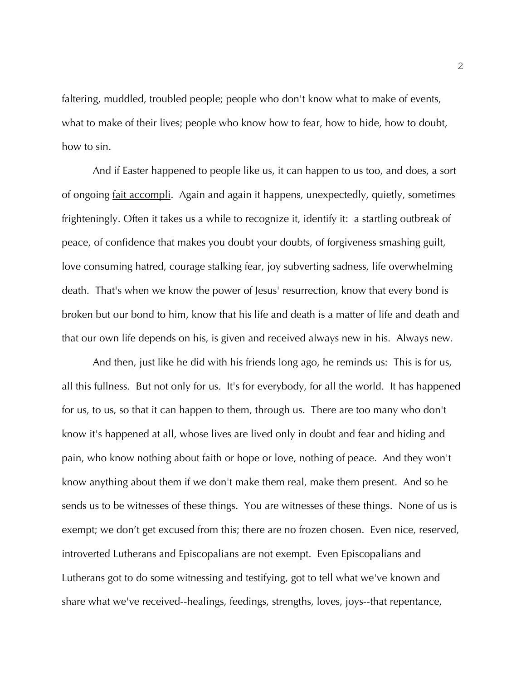faltering, muddled, troubled people; people who don't know what to make of events, what to make of their lives; people who know how to fear, how to hide, how to doubt, how to sin.

And if Easter happened to people like us, it can happen to us too, and does, a sort of ongoing fait accompli. Again and again it happens, unexpectedly, quietly, sometimes frighteningly. Often it takes us a while to recognize it, identify it: a startling outbreak of peace, of confidence that makes you doubt your doubts, of forgiveness smashing guilt, love consuming hatred, courage stalking fear, joy subverting sadness, life overwhelming death. That's when we know the power of Jesus' resurrection, know that every bond is broken but our bond to him, know that his life and death is a matter of life and death and that our own life depends on his, is given and received always new in his. Always new.

And then, just like he did with his friends long ago, he reminds us: This is for us, all this fullness. But not only for us. It's for everybody, for all the world. It has happened for us, to us, so that it can happen to them, through us. There are too many who don't know it's happened at all, whose lives are lived only in doubt and fear and hiding and pain, who know nothing about faith or hope or love, nothing of peace. And they won't know anything about them if we don't make them real, make them present. And so he sends us to be witnesses of these things. You are witnesses of these things. None of us is exempt; we don't get excused from this; there are no frozen chosen. Even nice, reserved, introverted Lutherans and Episcopalians are not exempt. Even Episcopalians and Lutherans got to do some witnessing and testifying, got to tell what we've known and share what we've received--healings, feedings, strengths, loves, joys--that repentance,